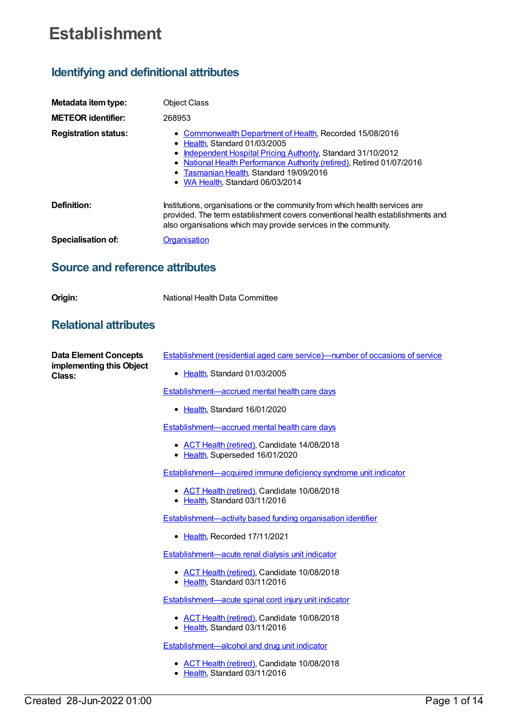# **Establishment**

# **Identifying and definitional attributes**

| Metadata item type:         | <b>Object Class</b>                                                                                                                                                                                                                                                                                                   |
|-----------------------------|-----------------------------------------------------------------------------------------------------------------------------------------------------------------------------------------------------------------------------------------------------------------------------------------------------------------------|
| <b>METEOR identifier:</b>   | 268953                                                                                                                                                                                                                                                                                                                |
| <b>Registration status:</b> | • Commonwealth Department of Health, Recorded 15/08/2016<br>• Health, Standard 01/03/2005<br>Independent Hospital Pricing Authority, Standard 31/10/2012<br>٠<br>• National Health Performance Authority (retired), Retired 01/07/2016<br>• Tasmanian Health, Standard 19/09/2016<br>• WA Health, Standard 06/03/2014 |
| Definition:                 | Institutions, organisations or the community from which health services are<br>provided. The term establishment covers conventional health establishments and<br>also organisations which may provide services in the community.                                                                                      |
| Specialisation of:          | Organisation                                                                                                                                                                                                                                                                                                          |

## **Source and reference attributes**

### **Relational attributes**

| <b>Data Element Concepts</b><br>implementing this Object<br>Class: | Establishment (residential aged care service)—number of occasions of service    |
|--------------------------------------------------------------------|---------------------------------------------------------------------------------|
|                                                                    | Health, Standard 01/03/2005<br>٠                                                |
|                                                                    | <b>Establishment-accrued mental health care days</b>                            |
|                                                                    | • Health, Standard 16/01/2020                                                   |
|                                                                    | <b>Establishment-accrued mental health care days</b>                            |
|                                                                    | • ACT Health (retired), Candidate 14/08/2018<br>• Health, Superseded 16/01/2020 |
|                                                                    | Establishment—acquired immune deficiency syndrome unit indicator                |
|                                                                    | • ACT Health (retired), Candidate 10/08/2018<br>• Health, Standard 03/11/2016   |
|                                                                    | Establishment—activity based funding organisation identifier                    |
|                                                                    | Health, Recorded 17/11/2021<br>$\bullet$                                        |
|                                                                    | Establishment-acute renal dialysis unit indicator                               |
|                                                                    | • ACT Health (retired), Candidate 10/08/2018<br>• Health, Standard 03/11/2016   |
|                                                                    | Establishment—acute spinal cord injury unit indicator                           |
|                                                                    | • ACT Health (retired), Candidate 10/08/2018<br>• Health, Standard 03/11/2016   |
|                                                                    | Establishment—alcohol and drug unit indicator                                   |

- ACT Health [\(retired\)](https://meteor.aihw.gov.au/RegistrationAuthority/9), Candidate 10/08/2018
- [Health](https://meteor.aihw.gov.au/RegistrationAuthority/12), Standard 03/11/2016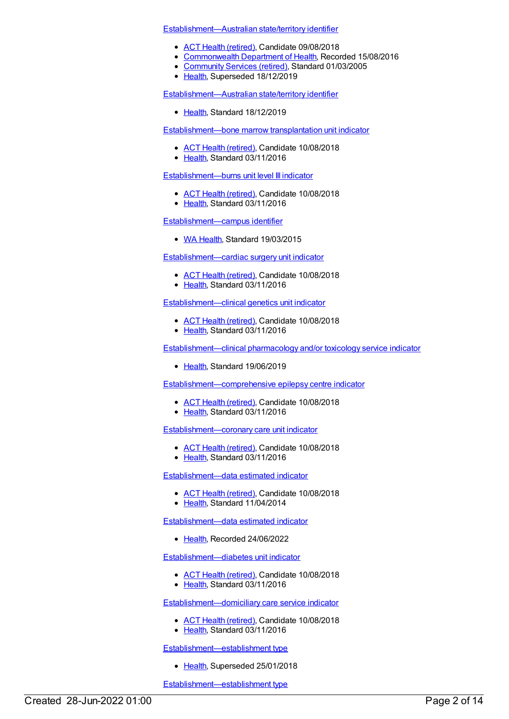[Establishment—Australian](https://meteor.aihw.gov.au/content/269461) state/territory identifier

- ACT Health [\(retired\)](https://meteor.aihw.gov.au/RegistrationAuthority/9), Candidate 09/08/2018
- [Commonwealth](https://meteor.aihw.gov.au/RegistrationAuthority/10) Department of Health, Recorded 15/08/2016
- [Community](https://meteor.aihw.gov.au/RegistrationAuthority/1) Services (retired), Standard 01/03/2005
- [Health](https://meteor.aihw.gov.au/RegistrationAuthority/12), Superseded 18/12/2019

[Establishment—Australian](https://meteor.aihw.gov.au/content/722659) state/territory identifier

• [Health](https://meteor.aihw.gov.au/RegistrationAuthority/12), Standard 18/12/2019

[Establishment—bone](https://meteor.aihw.gov.au/content/619691) marrow transplantation unit indicator

- ACT Health [\(retired\)](https://meteor.aihw.gov.au/RegistrationAuthority/9), Candidate 10/08/2018
- [Health](https://meteor.aihw.gov.au/RegistrationAuthority/12), Standard 03/11/2016

#### [Establishment—burns](https://meteor.aihw.gov.au/content/619700) unit level III indicator

- ACT Health [\(retired\)](https://meteor.aihw.gov.au/RegistrationAuthority/9), Candidate 10/08/2018
- [Health](https://meteor.aihw.gov.au/RegistrationAuthority/12), Standard 03/11/2016

#### [Establishment—campus](https://meteor.aihw.gov.au/content/563378) identifier

• WA [Health](https://meteor.aihw.gov.au/RegistrationAuthority/2), Standard 19/03/2015

[Establishment—cardiac](https://meteor.aihw.gov.au/content/619711) surgery unit indicator

- ACT Health [\(retired\)](https://meteor.aihw.gov.au/RegistrationAuthority/9), Candidate 10/08/2018
- [Health](https://meteor.aihw.gov.au/RegistrationAuthority/12), Standard 03/11/2016

[Establishment—clinical](https://meteor.aihw.gov.au/content/619721) genetics unit indicator

- ACT Health [\(retired\)](https://meteor.aihw.gov.au/RegistrationAuthority/9), Candidate 10/08/2018
- [Health](https://meteor.aihw.gov.au/RegistrationAuthority/12), Standard 03/11/2016

[Establishment—clinical](https://meteor.aihw.gov.au/content/715741) pharmacology and/or toxicology service indicator

• [Health](https://meteor.aihw.gov.au/RegistrationAuthority/12), Standard 19/06/2019

[Establishment—comprehensive](https://meteor.aihw.gov.au/content/619741) epilepsy centre indicator

- ACT Health [\(retired\)](https://meteor.aihw.gov.au/RegistrationAuthority/9), Candidate 10/08/2018
- [Health](https://meteor.aihw.gov.au/RegistrationAuthority/12), Standard 03/11/2016

[Establishment—coronary](https://meteor.aihw.gov.au/content/619756) care unit indicator

- ACT Health [\(retired\)](https://meteor.aihw.gov.au/RegistrationAuthority/9), Candidate 10/08/2018
- [Health](https://meteor.aihw.gov.au/RegistrationAuthority/12), Standard 03/11/2016

[Establishment—data](https://meteor.aihw.gov.au/content/548889) estimated indicator

- ACT Health [\(retired\)](https://meteor.aihw.gov.au/RegistrationAuthority/9), Candidate 10/08/2018
- [Health](https://meteor.aihw.gov.au/RegistrationAuthority/12), Standard 11/04/2014

[Establishment—data](https://meteor.aihw.gov.au/content/757027) estimated indicator

• [Health](https://meteor.aihw.gov.au/RegistrationAuthority/12), Recorded 24/06/2022

[Establishment—diabetes](https://meteor.aihw.gov.au/content/619774) unit indicator

- ACT Health [\(retired\)](https://meteor.aihw.gov.au/RegistrationAuthority/9), Candidate 10/08/2018
- [Health](https://meteor.aihw.gov.au/RegistrationAuthority/12), Standard 03/11/2016

[Establishment—domiciliary](https://meteor.aihw.gov.au/content/619787) care service indicator

- ACT Health [\(retired\)](https://meteor.aihw.gov.au/RegistrationAuthority/9), Candidate 10/08/2018
- Elealth, Standard 03/11/2016

[Establishment—establishment](https://meteor.aihw.gov.au/content/269413) type

• [Health](https://meteor.aihw.gov.au/RegistrationAuthority/12), Superseded 25/01/2018

[Establishment—establishment](https://meteor.aihw.gov.au/content/684437) type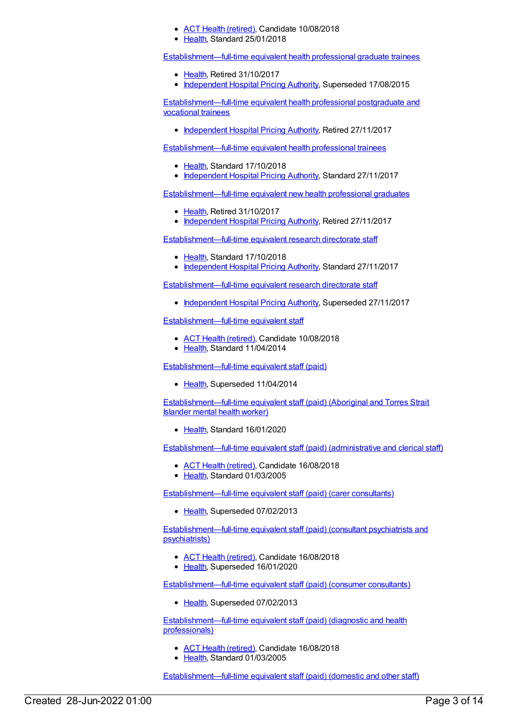- ACT Health [\(retired\)](https://meteor.aihw.gov.au/RegistrationAuthority/9), Candidate 10/08/2018
- [Health](https://meteor.aihw.gov.au/RegistrationAuthority/12), Standard 25/01/2018

[Establishment—full-time](https://meteor.aihw.gov.au/content/543310) equivalent health professional graduate trainees

- [Health](https://meteor.aihw.gov.au/RegistrationAuthority/12), Retired 31/10/2017
- [Independent](https://meteor.aihw.gov.au/RegistrationAuthority/3) Hospital Pricing Authority, Superseded 17/08/2015

[Establishment—full-time](https://meteor.aihw.gov.au/content/584392) equivalent health professional postgraduate and vocational trainees

• [Independent](https://meteor.aihw.gov.au/RegistrationAuthority/3) Hospital Pricing Authority, Retired 27/11/2017

[Establishment—full-time](https://meteor.aihw.gov.au/content/677507) equivalent health professional trainees

- [Health](https://meteor.aihw.gov.au/RegistrationAuthority/12), Standard 17/10/2018
- [Independent](https://meteor.aihw.gov.au/RegistrationAuthority/3) Hospital Pricing Authority, Standard 27/11/2017

[Establishment—full-time](https://meteor.aihw.gov.au/content/542906) equivalent new health professional graduates

- [Health](https://meteor.aihw.gov.au/RegistrationAuthority/12), Retired 31/10/2017
- [Independent](https://meteor.aihw.gov.au/RegistrationAuthority/3) Hospital Pricing Authority, Retired 27/11/2017

[Establishment—full-time](https://meteor.aihw.gov.au/content/678930) equivalent research directorate staff

- [Health](https://meteor.aihw.gov.au/RegistrationAuthority/12), Standard 17/10/2018
- [Independent](https://meteor.aihw.gov.au/RegistrationAuthority/3) Hospital Pricing Authority, Standard 27/11/2017

[Establishment—full-time](https://meteor.aihw.gov.au/content/583820) equivalent research directorate staff

• [Independent](https://meteor.aihw.gov.au/RegistrationAuthority/3) Hospital Pricing Authority, Superseded 27/11/2017

[Establishment—full-time](https://meteor.aihw.gov.au/content/541999) equivalent staff

- ACT Health [\(retired\)](https://meteor.aihw.gov.au/RegistrationAuthority/9), Candidate 10/08/2018
- [Health](https://meteor.aihw.gov.au/RegistrationAuthority/12), Standard 11/04/2014

[Establishment—full-time](https://meteor.aihw.gov.au/content/269927) equivalent staff (paid)

• [Health](https://meteor.aihw.gov.au/RegistrationAuthority/12), Superseded 11/04/2014

[Establishment—full-time](https://meteor.aihw.gov.au/content/722202) equivalent staff (paid) (Aboriginal and Torres Strait Islander mental health worker)

• [Health](https://meteor.aihw.gov.au/RegistrationAuthority/12), Standard 16/01/2020

[Establishment—full-time](https://meteor.aihw.gov.au/content/269877) equivalent staff (paid) (administrative and clerical staff)

- ACT Health [\(retired\)](https://meteor.aihw.gov.au/RegistrationAuthority/9), Candidate 16/08/2018
- [Health](https://meteor.aihw.gov.au/RegistrationAuthority/12), Standard 01/03/2005

[Establishment—full-time](https://meteor.aihw.gov.au/content/287706) equivalent staff (paid) (carer consultants)

• [Health](https://meteor.aihw.gov.au/RegistrationAuthority/12), Superseded 07/02/2013

[Establishment—full-time](https://meteor.aihw.gov.au/content/287678) equivalent staff (paid) (consultant psychiatrists and psychiatrists)

- ACT Health [\(retired\)](https://meteor.aihw.gov.au/RegistrationAuthority/9), Candidate 16/08/2018
- [Health](https://meteor.aihw.gov.au/RegistrationAuthority/12), Superseded 16/01/2020

[Establishment—full-time](https://meteor.aihw.gov.au/content/287708) equivalent staff (paid) (consumer consultants)

• [Health](https://meteor.aihw.gov.au/RegistrationAuthority/12), Superseded 07/02/2013

[Establishment—full-time](https://meteor.aihw.gov.au/content/269876) equivalent staff (paid) (diagnostic and health professionals)

- ACT Health [\(retired\)](https://meteor.aihw.gov.au/RegistrationAuthority/9), Candidate 16/08/2018
- [Health](https://meteor.aihw.gov.au/RegistrationAuthority/12), Standard 01/03/2005

[Establishment—full-time](https://meteor.aihw.gov.au/content/269874) equivalent staff (paid) (domestic and other staff)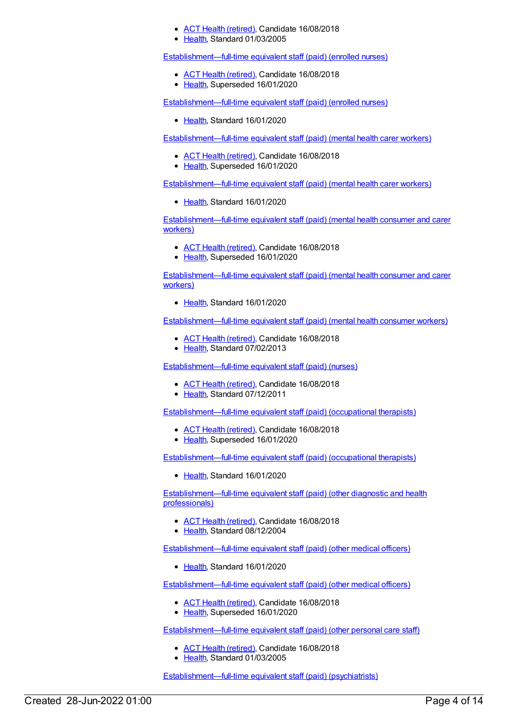- ACT Health [\(retired\)](https://meteor.aihw.gov.au/RegistrationAuthority/9), Candidate 16/08/2018
- [Health](https://meteor.aihw.gov.au/RegistrationAuthority/12), Standard 01/03/2005

[Establishment—full-time](https://meteor.aihw.gov.au/content/269871) equivalent staff (paid) (enrolled nurses)

- ACT Health [\(retired\)](https://meteor.aihw.gov.au/RegistrationAuthority/9), Candidate 16/08/2018
- [Health](https://meteor.aihw.gov.au/RegistrationAuthority/12), Superseded 16/01/2020

[Establishment—full-time](https://meteor.aihw.gov.au/content/718651) equivalent staff (paid) (enrolled nurses)

Ealth, Standard 16/01/2020

[Establishment—full-time](https://meteor.aihw.gov.au/content/450769) equivalent staff (paid) (mental health carer workers)

- ACT Health [\(retired\)](https://meteor.aihw.gov.au/RegistrationAuthority/9), Candidate 16/08/2018
- [Health](https://meteor.aihw.gov.au/RegistrationAuthority/12), Superseded 16/01/2020

[Establishment—full-time](https://meteor.aihw.gov.au/content/718684) equivalent staff (paid) (mental health carer workers)

• [Health](https://meteor.aihw.gov.au/RegistrationAuthority/12), Standard 16/01/2020

[Establishment—full-time](https://meteor.aihw.gov.au/content/494037) equivalent staff (paid) (mental health consumer and carer workers)

- ACT Health [\(retired\)](https://meteor.aihw.gov.au/RegistrationAuthority/9), Candidate 16/08/2018
- [Health](https://meteor.aihw.gov.au/RegistrationAuthority/12), Superseded 16/01/2020

[Establishment—full-time](https://meteor.aihw.gov.au/content/718704) equivalent staff (paid) (mental health consumer and carer workers)

• [Health](https://meteor.aihw.gov.au/RegistrationAuthority/12), Standard 16/01/2020

[Establishment—full-time](https://meteor.aihw.gov.au/content/450824) equivalent staff (paid) (mental health consumer workers)

- ACT Health [\(retired\)](https://meteor.aihw.gov.au/RegistrationAuthority/9), Candidate 16/08/2018
- [Health](https://meteor.aihw.gov.au/RegistrationAuthority/12), Standard 07/02/2013

[Establishment—full-time](https://meteor.aihw.gov.au/content/426701) equivalent staff (paid) (nurses)

- ACT Health [\(retired\)](https://meteor.aihw.gov.au/RegistrationAuthority/9), Candidate 16/08/2018
- [Health](https://meteor.aihw.gov.au/RegistrationAuthority/12), Standard 07/12/2011

[Establishment—full-time](https://meteor.aihw.gov.au/content/287690) equivalent staff (paid) (occupational therapists)

- ACT Health [\(retired\)](https://meteor.aihw.gov.au/RegistrationAuthority/9), Candidate 16/08/2018
- [Health](https://meteor.aihw.gov.au/RegistrationAuthority/12), Superseded 16/01/2020

[Establishment—full-time](https://meteor.aihw.gov.au/content/718711) equivalent staff (paid) (occupational therapists)

• [Health](https://meteor.aihw.gov.au/RegistrationAuthority/12), Standard 16/01/2020

[Establishment—full-time](https://meteor.aihw.gov.au/content/287700) equivalent staff (paid) (other diagnostic and health professionals)

- ACT Health [\(retired\)](https://meteor.aihw.gov.au/RegistrationAuthority/9), Candidate 16/08/2018
- [Health](https://meteor.aihw.gov.au/RegistrationAuthority/12), Standard 08/12/2004

[Establishment—full-time](https://meteor.aihw.gov.au/content/718765) equivalent staff (paid) (other medical officers)

[Health](https://meteor.aihw.gov.au/RegistrationAuthority/12), Standard 16/01/2020

[Establishment—full-time](https://meteor.aihw.gov.au/content/287686) equivalent staff (paid) (other medical officers)

- ACT Health [\(retired\)](https://meteor.aihw.gov.au/RegistrationAuthority/9), Candidate 16/08/2018
- [Health](https://meteor.aihw.gov.au/RegistrationAuthority/12), Superseded 16/01/2020

[Establishment—full-time](https://meteor.aihw.gov.au/content/269875) equivalent staff (paid) (other personal care staff)

- ACT Health [\(retired\)](https://meteor.aihw.gov.au/RegistrationAuthority/9), Candidate 16/08/2018
- Elealth, Standard 01/03/2005

[Establishment—full-time](https://meteor.aihw.gov.au/content/717139) equivalent staff (paid) (psychiatrists)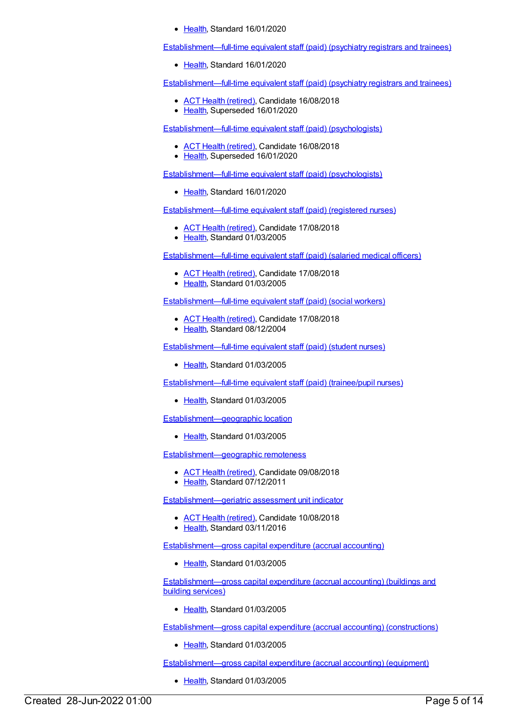• [Health](https://meteor.aihw.gov.au/RegistrationAuthority/12), Standard 16/01/2020

[Establishment—full-time](https://meteor.aihw.gov.au/content/718868) equivalent staff (paid) (psychiatry registrars and trainees)

• [Health](https://meteor.aihw.gov.au/RegistrationAuthority/12), Standard 16/01/2020

[Establishment—full-time](https://meteor.aihw.gov.au/content/287684) equivalent staff (paid) (psychiatry registrars and trainees)

- ACT Health [\(retired\)](https://meteor.aihw.gov.au/RegistrationAuthority/9), Candidate 16/08/2018
- [Health](https://meteor.aihw.gov.au/RegistrationAuthority/12), Superseded 16/01/2020

[Establishment—full-time](https://meteor.aihw.gov.au/content/287698) equivalent staff (paid) (psychologists)

- ACT Health [\(retired\)](https://meteor.aihw.gov.au/RegistrationAuthority/9), Candidate 16/08/2018
- [Health](https://meteor.aihw.gov.au/RegistrationAuthority/12), Superseded 16/01/2020

[Establishment—full-time](https://meteor.aihw.gov.au/content/722172) equivalent staff (paid) (psychologists)

• [Health](https://meteor.aihw.gov.au/RegistrationAuthority/12), Standard 16/01/2020

[Establishment—full-time](https://meteor.aihw.gov.au/content/269870) equivalent staff (paid) (registered nurses)

- ACT Health [\(retired\)](https://meteor.aihw.gov.au/RegistrationAuthority/9), Candidate 17/08/2018
- [Health](https://meteor.aihw.gov.au/RegistrationAuthority/12), Standard 01/03/2005

[Establishment—full-time](https://meteor.aihw.gov.au/content/269637) equivalent staff (paid) (salaried medical officers)

- ACT Health [\(retired\)](https://meteor.aihw.gov.au/RegistrationAuthority/9), Candidate 17/08/2018
- [Health](https://meteor.aihw.gov.au/RegistrationAuthority/12), Standard 01/03/2005

[Establishment—full-time](https://meteor.aihw.gov.au/content/287694) equivalent staff (paid) (social workers)

- ACT Health [\(retired\)](https://meteor.aihw.gov.au/RegistrationAuthority/9), Candidate 17/08/2018
- Ealth, Standard 08/12/2004

[Establishment—full-time](https://meteor.aihw.gov.au/content/269872) equivalent staff (paid) (student nurses)

● [Health](https://meteor.aihw.gov.au/RegistrationAuthority/12), Standard 01/03/2005

[Establishment—full-time](https://meteor.aihw.gov.au/content/269873) equivalent staff (paid) (trainee/pupil nurses)

• [Health](https://meteor.aihw.gov.au/RegistrationAuthority/12), Standard 01/03/2005

[Establishment—geographic](https://meteor.aihw.gov.au/content/269615) location

[Health](https://meteor.aihw.gov.au/RegistrationAuthority/12), Standard 01/03/2005

[Establishment—geographic](https://meteor.aihw.gov.au/content/461468) remoteness

- ACT Health [\(retired\)](https://meteor.aihw.gov.au/RegistrationAuthority/9), Candidate 09/08/2018
- [Health](https://meteor.aihw.gov.au/RegistrationAuthority/12), Standard 07/12/2011

[Establishment—geriatric](https://meteor.aihw.gov.au/content/619806) assessment unit indicator

- ACT Health [\(retired\)](https://meteor.aihw.gov.au/RegistrationAuthority/9), Candidate 10/08/2018
- [Health](https://meteor.aihw.gov.au/RegistrationAuthority/12), Standard 03/11/2016

[Establishment—gross](https://meteor.aihw.gov.au/content/269926) capital expenditure (accrual accounting)

• [Health](https://meteor.aihw.gov.au/RegistrationAuthority/12), Standard 01/03/2005

[Establishment—gross](https://meteor.aihw.gov.au/content/269902) capital expenditure (accrual accounting) (buildings and building services)

• [Health](https://meteor.aihw.gov.au/RegistrationAuthority/12), Standard 01/03/2005

[Establishment—gross](https://meteor.aihw.gov.au/content/269903) capital expenditure (accrual accounting) (constructions)

• [Health](https://meteor.aihw.gov.au/RegistrationAuthority/12), Standard 01/03/2005

[Establishment—gross](https://meteor.aihw.gov.au/content/269904) capital expenditure (accrual accounting) (equipment)

• [Health](https://meteor.aihw.gov.au/RegistrationAuthority/12), Standard 01/03/2005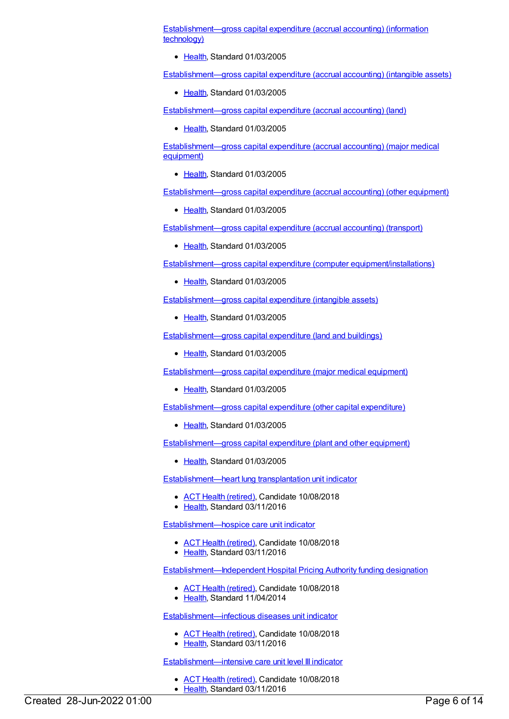[Establishment—gross](https://meteor.aihw.gov.au/content/269905) capital expenditure (accrual accounting) (information technology)

• [Health](https://meteor.aihw.gov.au/RegistrationAuthority/12), Standard 01/03/2005

[Establishment—gross](https://meteor.aihw.gov.au/content/269909) capital expenditure (accrual accounting) (intangible assets)

[Health](https://meteor.aihw.gov.au/RegistrationAuthority/12), Standard 01/03/2005

[Establishment—gross](https://meteor.aihw.gov.au/content/269814) capital expenditure (accrual accounting) (land)

• [Health](https://meteor.aihw.gov.au/RegistrationAuthority/12), Standard 01/03/2005

[Establishment—gross](https://meteor.aihw.gov.au/content/269906) capital expenditure (accrual accounting) (major medical equipment)

• [Health](https://meteor.aihw.gov.au/RegistrationAuthority/12), Standard 01/03/2005

[Establishment—gross](https://meteor.aihw.gov.au/content/269908) capital expenditure (accrual accounting) (other equipment)

• [Health](https://meteor.aihw.gov.au/RegistrationAuthority/12), Standard 01/03/2005

[Establishment—gross](https://meteor.aihw.gov.au/content/269907) capital expenditure (accrual accounting) (transport)

• [Health](https://meteor.aihw.gov.au/RegistrationAuthority/12), Standard 01/03/2005

Establishment—gross capital expenditure (computer [equipment/installations\)](https://meteor.aihw.gov.au/content/269897)

• [Health](https://meteor.aihw.gov.au/RegistrationAuthority/12), Standard 01/03/2005

[Establishment—gross](https://meteor.aihw.gov.au/content/269900) capital expenditure (intangible assets)

• [Health](https://meteor.aihw.gov.au/RegistrationAuthority/12), Standard 01/03/2005

[Establishment—gross](https://meteor.aihw.gov.au/content/269408) capital expenditure (land and buildings)

• [Health](https://meteor.aihw.gov.au/RegistrationAuthority/12), Standard 01/03/2005

[Establishment—gross](https://meteor.aihw.gov.au/content/269898) capital expenditure (major medical equipment)

• [Health](https://meteor.aihw.gov.au/RegistrationAuthority/12), Standard 01/03/2005

[Establishment—gross](https://meteor.aihw.gov.au/content/269901) capital expenditure (other capital expenditure)

• [Health](https://meteor.aihw.gov.au/RegistrationAuthority/12), Standard 01/03/2005

[Establishment—gross](https://meteor.aihw.gov.au/content/269899) capital expenditure (plant and other equipment)

• [Health](https://meteor.aihw.gov.au/RegistrationAuthority/12), Standard 01/03/2005

[Establishment—heart](https://meteor.aihw.gov.au/content/619820) lung transplantation unit indicator

- ACT Health [\(retired\)](https://meteor.aihw.gov.au/RegistrationAuthority/9), Candidate 10/08/2018
- Elealth, Standard 03/11/2016

[Establishment—hospice](https://meteor.aihw.gov.au/content/619858) care unit indicator

- ACT Health [\(retired\)](https://meteor.aihw.gov.au/RegistrationAuthority/9), Candidate 10/08/2018
- [Health](https://meteor.aihw.gov.au/RegistrationAuthority/12), Standard 03/11/2016

[Establishment—Independent](https://meteor.aihw.gov.au/content/548701) Hospital Pricing Authority funding designation

- ACT Health [\(retired\)](https://meteor.aihw.gov.au/RegistrationAuthority/9), Candidate 10/08/2018
- [Health](https://meteor.aihw.gov.au/RegistrationAuthority/12), Standard 11/04/2014

[Establishment—infectious](https://meteor.aihw.gov.au/content/619886) diseases unit indicator

- ACT Health [\(retired\)](https://meteor.aihw.gov.au/RegistrationAuthority/9), Candidate 10/08/2018
- [Health](https://meteor.aihw.gov.au/RegistrationAuthority/12), Standard 03/11/2016

#### [Establishment—intensive](https://meteor.aihw.gov.au/content/619892) care unit level III indicator

ACT Health [\(retired\)](https://meteor.aihw.gov.au/RegistrationAuthority/9), Candidate 10/08/2018 • [Health](https://meteor.aihw.gov.au/RegistrationAuthority/12), Standard 03/11/2016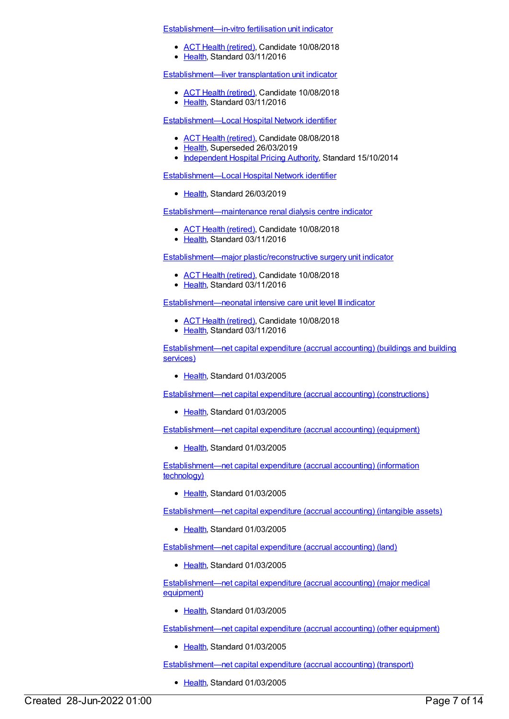[Establishment—in-vitro](https://meteor.aihw.gov.au/content/619875) fertilisation unit indicator

- ACT Health [\(retired\)](https://meteor.aihw.gov.au/RegistrationAuthority/9), Candidate 10/08/2018
- [Health](https://meteor.aihw.gov.au/RegistrationAuthority/12), Standard 03/11/2016

[Establishment—liver](https://meteor.aihw.gov.au/content/619912) transplantation unit indicator

- ACT Health [\(retired\)](https://meteor.aihw.gov.au/RegistrationAuthority/9), Candidate 10/08/2018
- [Health](https://meteor.aihw.gov.au/RegistrationAuthority/12), Standard 03/11/2016

[Establishment—Local](https://meteor.aihw.gov.au/content/556973) Hospital Network identifier

- ACT Health [\(retired\)](https://meteor.aihw.gov.au/RegistrationAuthority/9), Candidate 08/08/2018
- [Health](https://meteor.aihw.gov.au/RegistrationAuthority/12), Superseded 26/03/2019
- [Independent](https://meteor.aihw.gov.au/RegistrationAuthority/3) Hospital Pricing Authority, Standard 15/10/2014

[Establishment—Local](https://meteor.aihw.gov.au/content/711155) Hospital Network identifier

• [Health](https://meteor.aihw.gov.au/RegistrationAuthority/12), Standard 26/03/2019

[Establishment—maintenance](https://meteor.aihw.gov.au/content/619918) renal dialysis centre indicator

- ACT Health [\(retired\)](https://meteor.aihw.gov.au/RegistrationAuthority/9), Candidate 10/08/2018
- [Health](https://meteor.aihw.gov.au/RegistrationAuthority/12), Standard 03/11/2016

[Establishment—major](https://meteor.aihw.gov.au/content/619939) plastic/reconstructive surgery unit indicator

- ACT Health [\(retired\)](https://meteor.aihw.gov.au/RegistrationAuthority/9), Candidate 10/08/2018
- [Health](https://meteor.aihw.gov.au/RegistrationAuthority/12), Standard 03/11/2016

[Establishment—neonatal](https://meteor.aihw.gov.au/content/619945) intensive care unit level III indicator

- ACT Health [\(retired\)](https://meteor.aihw.gov.au/RegistrationAuthority/9), Candidate 10/08/2018
- [Health](https://meteor.aihw.gov.au/RegistrationAuthority/12), Standard 03/11/2016

[Establishment—net](https://meteor.aihw.gov.au/content/269910) capital expenditure (accrual accounting) (buildings and building services)

• [Health](https://meteor.aihw.gov.au/RegistrationAuthority/12), Standard 01/03/2005

[Establishment—net](https://meteor.aihw.gov.au/content/269911) capital expenditure (accrual accounting) (constructions)

[Health](https://meteor.aihw.gov.au/RegistrationAuthority/12), Standard 01/03/2005

[Establishment—net](https://meteor.aihw.gov.au/content/269912) capital expenditure (accrual accounting) (equipment)

• [Health](https://meteor.aihw.gov.au/RegistrationAuthority/12), Standard 01/03/2005

[Establishment—net](https://meteor.aihw.gov.au/content/269913) capital expenditure (accrual accounting) (information technology)

• [Health](https://meteor.aihw.gov.au/RegistrationAuthority/12), Standard 01/03/2005

[Establishment—net](https://meteor.aihw.gov.au/content/269917) capital expenditure (accrual accounting) (intangible assets)

• [Health](https://meteor.aihw.gov.au/RegistrationAuthority/12), Standard 01/03/2005

[Establishment—net](https://meteor.aihw.gov.au/content/269425) capital expenditure (accrual accounting) (land)

[Health](https://meteor.aihw.gov.au/RegistrationAuthority/12), Standard 01/03/2005

[Establishment—net](https://meteor.aihw.gov.au/content/269914) capital expenditure (accrual accounting) (major medical equipment)

[Health](https://meteor.aihw.gov.au/RegistrationAuthority/12), Standard 01/03/2005

[Establishment—net](https://meteor.aihw.gov.au/content/269916) capital expenditure (accrual accounting) (other equipment)

• [Health](https://meteor.aihw.gov.au/RegistrationAuthority/12), Standard 01/03/2005

[Establishment—net](https://meteor.aihw.gov.au/content/269915) capital expenditure (accrual accounting) (transport)

• [Health](https://meteor.aihw.gov.au/RegistrationAuthority/12), Standard 01/03/2005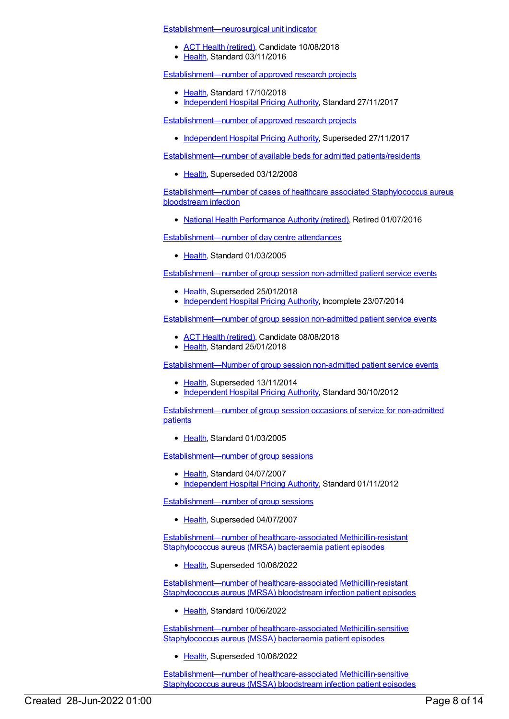[Establishment—neurosurgical](https://meteor.aihw.gov.au/content/619951) unit indicator

- ACT Health [\(retired\)](https://meteor.aihw.gov.au/RegistrationAuthority/9), Candidate 10/08/2018
- [Health](https://meteor.aihw.gov.au/RegistrationAuthority/12), Standard 03/11/2016

[Establishment—number](https://meteor.aihw.gov.au/content/678908) of approved research projects

- [Health](https://meteor.aihw.gov.au/RegistrationAuthority/12), Standard 17/10/2018
- [Independent](https://meteor.aihw.gov.au/RegistrationAuthority/3) Hospital Pricing Authority, Standard 27/11/2017

[Establishment—number](https://meteor.aihw.gov.au/content/583929) of approved research projects

• [Independent](https://meteor.aihw.gov.au/RegistrationAuthority/3) Hospital Pricing Authority, Superseded 27/11/2017

[Establishment—number](https://meteor.aihw.gov.au/content/269596) of available beds for admitted patients/residents

• [Health](https://meteor.aihw.gov.au/RegistrationAuthority/12), Superseded 03/12/2008

[Establishment—number](https://meteor.aihw.gov.au/content/560361) of cases of healthcare associated Staphylococcus aureus bloodstream infection

• National Health [Performance](https://meteor.aihw.gov.au/RegistrationAuthority/8) Authority (retired), Retired 01/07/2016

[Establishment—number](https://meteor.aihw.gov.au/content/269696) of day centre attendances

Elealth, Standard 01/03/2005

[Establishment—number](https://meteor.aihw.gov.au/content/584054) of group session non-admitted patient service events

- [Health](https://meteor.aihw.gov.au/RegistrationAuthority/12), Superseded 25/01/2018
- [Independent](https://meteor.aihw.gov.au/RegistrationAuthority/3) Hospital Pricing Authority, Incomplete 23/07/2014

[Establishment—number](https://meteor.aihw.gov.au/content/679574) of group session non-admitted patient service events

- ACT Health [\(retired\)](https://meteor.aihw.gov.au/RegistrationAuthority/9), Candidate 08/08/2018
- [Health](https://meteor.aihw.gov.au/RegistrationAuthority/12), Standard 25/01/2018

[Establishment—Number](https://meteor.aihw.gov.au/content/497969) of group session non-admitted patient service events

- [Health](https://meteor.aihw.gov.au/RegistrationAuthority/12), Superseded 13/11/2014
- [Independent](https://meteor.aihw.gov.au/RegistrationAuthority/3) Hospital Pricing Authority, Standard 30/10/2012

[Establishment—number](https://meteor.aihw.gov.au/content/269674) of group session occasions of service for non-admitted patients

[Health](https://meteor.aihw.gov.au/RegistrationAuthority/12), Standard 01/03/2005

[Establishment—number](https://meteor.aihw.gov.au/content/336919) of group sessions

- [Health](https://meteor.aihw.gov.au/RegistrationAuthority/12), Standard 04/07/2007
- [Independent](https://meteor.aihw.gov.au/RegistrationAuthority/3) Hospital Pricing Authority, Standard 01/11/2012

[Establishment—number](https://meteor.aihw.gov.au/content/292786) of group sessions

• [Health](https://meteor.aihw.gov.au/RegistrationAuthority/12), Superseded 04/07/2007

[Establishment—number](https://meteor.aihw.gov.au/content/585166) of healthcare-associated Methicillin-resistant Staphylococcus aureus (MRSA) bacteraemia patient episodes

• [Health](https://meteor.aihw.gov.au/RegistrationAuthority/12), Superseded 10/06/2022

[Establishment—number](https://meteor.aihw.gov.au/content/751483) of healthcare-associated Methicillin-resistant Staphylococcus aureus (MRSA) bloodstream infection patient episodes

• [Health](https://meteor.aihw.gov.au/RegistrationAuthority/12), Standard 10/06/2022

[Establishment—number](https://meteor.aihw.gov.au/content/585138) of healthcare-associated Methicillin-sensitive Staphylococcus aureus (MSSA) bacteraemia patient episodes

• [Health](https://meteor.aihw.gov.au/RegistrationAuthority/12), Superseded 10/06/2022

[Establishment—number](https://meteor.aihw.gov.au/content/751496) of healthcare-associated Methicillin-sensitive Staphylococcus aureus (MSSA) bloodstream infection patient episodes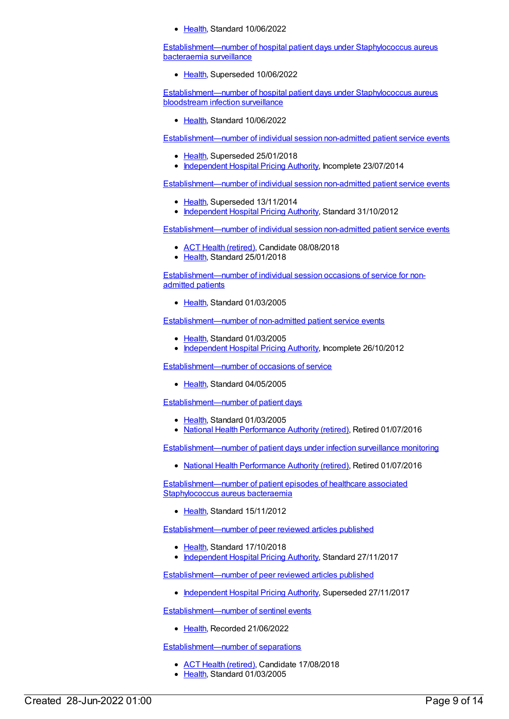• [Health](https://meteor.aihw.gov.au/RegistrationAuthority/12), Standard 10/06/2022

[Establishment—number](https://meteor.aihw.gov.au/content/585111) of hospital patient days under Staphylococcus aureus bacteraemia surveillance

• [Health](https://meteor.aihw.gov.au/RegistrationAuthority/12), Superseded 10/06/2022

[Establishment—number](https://meteor.aihw.gov.au/content/754298) of hospital patient days under Staphylococcus aureus bloodstream infection surveillance

● [Health](https://meteor.aihw.gov.au/RegistrationAuthority/12), Standard 10/06/2022

[Establishment—number](https://meteor.aihw.gov.au/content/584036) of individual session non-admitted patient service events

- [Health](https://meteor.aihw.gov.au/RegistrationAuthority/12), Superseded 25/01/2018
- [Independent](https://meteor.aihw.gov.au/RegistrationAuthority/3) Hospital Pricing Authority, Incomplete 23/07/2014

[Establishment—number](https://meteor.aihw.gov.au/content/497975) of individual session non-admitted patient service events

- [Health](https://meteor.aihw.gov.au/RegistrationAuthority/12), Superseded 13/11/2014
- [Independent](https://meteor.aihw.gov.au/RegistrationAuthority/3) Hospital Pricing Authority, Standard 31/10/2012

[Establishment—number](https://meteor.aihw.gov.au/content/679564) of individual session non-admitted patient service events

- ACT Health [\(retired\)](https://meteor.aihw.gov.au/RegistrationAuthority/9), Candidate 08/08/2018
- Ealth, Standard 25/01/2018

[Establishment—number](https://meteor.aihw.gov.au/content/313847) of individual session occasions of service for nonadmitted patients

● [Health](https://meteor.aihw.gov.au/RegistrationAuthority/12), Standard 01/03/2005

[Establishment—number](https://meteor.aihw.gov.au/content/269609) of non-admitted patient service events

- [Health](https://meteor.aihw.gov.au/RegistrationAuthority/12), Standard 01/03/2005
- [Independent](https://meteor.aihw.gov.au/RegistrationAuthority/3) Hospital Pricing Authority, Incomplete 26/10/2012

[Establishment—number](https://meteor.aihw.gov.au/content/291061) of occasions of service

• [Health](https://meteor.aihw.gov.au/RegistrationAuthority/12), Standard 04/05/2005

[Establishment—number](https://meteor.aihw.gov.au/content/269516) of patient days

- [Health](https://meteor.aihw.gov.au/RegistrationAuthority/12), Standard 01/03/2005
- National Health [Performance](https://meteor.aihw.gov.au/RegistrationAuthority/8) Authority (retired), Retired 01/07/2016

[Establishment—number](https://meteor.aihw.gov.au/content/563299) of patient days under infection surveillance monitoring

National Health [Performance](https://meteor.aihw.gov.au/RegistrationAuthority/8) Authority (retired), Retired 01/07/2016

[Establishment—number](https://meteor.aihw.gov.au/content/428592) of patient episodes of healthcare associated Staphylococcus aureus bacteraemia

• [Health](https://meteor.aihw.gov.au/RegistrationAuthority/12), Standard 15/11/2012

[Establishment—number](https://meteor.aihw.gov.au/content/678868) of peer reviewed articles published

- [Health](https://meteor.aihw.gov.au/RegistrationAuthority/12), Standard 17/10/2018
- [Independent](https://meteor.aihw.gov.au/RegistrationAuthority/3) Hospital Pricing Authority, Standard 27/11/2017

[Establishment—number](https://meteor.aihw.gov.au/content/583891) of peer reviewed articles published

• [Independent](https://meteor.aihw.gov.au/RegistrationAuthority/3) Hospital Pricing Authority, Superseded 27/11/2017

[Establishment—number](https://meteor.aihw.gov.au/content/758570) of sentinel events

• [Health](https://meteor.aihw.gov.au/RegistrationAuthority/12), Recorded 21/06/2022

[Establishment—number](https://meteor.aihw.gov.au/content/269822) of separations

- ACT Health [\(retired\)](https://meteor.aihw.gov.au/RegistrationAuthority/9), Candidate 17/08/2018
- [Health](https://meteor.aihw.gov.au/RegistrationAuthority/12), Standard 01/03/2005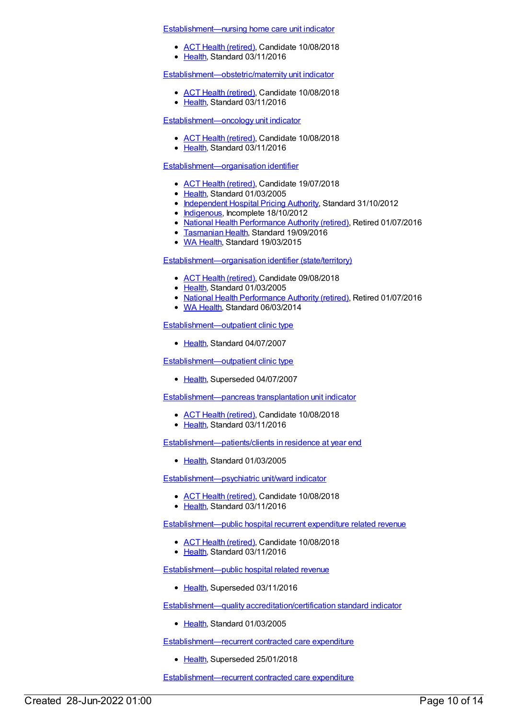[Establishment—nursing](https://meteor.aihw.gov.au/content/619957) home care unit indicator

- ACT Health [\(retired\)](https://meteor.aihw.gov.au/RegistrationAuthority/9), Candidate 10/08/2018
- [Health](https://meteor.aihw.gov.au/RegistrationAuthority/12), Standard 03/11/2016

[Establishment—obstetric/maternity](https://meteor.aihw.gov.au/content/619975) unit indicator

- ACT Health [\(retired\)](https://meteor.aihw.gov.au/RegistrationAuthority/9), Candidate 10/08/2018
- [Health](https://meteor.aihw.gov.au/RegistrationAuthority/12), Standard 03/11/2016

#### [Establishment—oncology](https://meteor.aihw.gov.au/content/619988) unit indicator

- ACT Health [\(retired\)](https://meteor.aihw.gov.au/RegistrationAuthority/9), Candidate 10/08/2018
- [Health](https://meteor.aihw.gov.au/RegistrationAuthority/12), Standard 03/11/2016

#### [Establishment—organisation](https://meteor.aihw.gov.au/content/269415) identifier

- ACT Health [\(retired\)](https://meteor.aihw.gov.au/RegistrationAuthority/9), Candidate 19/07/2018
- [Health](https://meteor.aihw.gov.au/RegistrationAuthority/12), Standard 01/03/2005
- [Independent](https://meteor.aihw.gov.au/RegistrationAuthority/3) Hospital Pricing Authority, Standard 31/10/2012
- [Indigenous](https://meteor.aihw.gov.au/RegistrationAuthority/6), Incomplete 18/10/2012
- National Health [Performance](https://meteor.aihw.gov.au/RegistrationAuthority/8) Authority (retired), Retired 01/07/2016
- **[Tasmanian](https://meteor.aihw.gov.au/RegistrationAuthority/15) Health, Standard 19/09/2016**
- WA [Health](https://meteor.aihw.gov.au/RegistrationAuthority/2), Standard 19/03/2015

#### [Establishment—organisation](https://meteor.aihw.gov.au/content/269922) identifier (state/territory)

- ACT Health [\(retired\)](https://meteor.aihw.gov.au/RegistrationAuthority/9), Candidate 09/08/2018
- [Health](https://meteor.aihw.gov.au/RegistrationAuthority/12), Standard 01/03/2005
- National Health [Performance](https://meteor.aihw.gov.au/RegistrationAuthority/8) Authority (retired), Retired 01/07/2016
- WA [Health](https://meteor.aihw.gov.au/RegistrationAuthority/2), Standard 06/03/2014

#### [Establishment—outpatient](https://meteor.aihw.gov.au/content/336955) clinic type

• [Health](https://meteor.aihw.gov.au/RegistrationAuthority/12), Standard 04/07/2007

#### [Establishment—outpatient](https://meteor.aihw.gov.au/content/291080) clinic type

• [Health](https://meteor.aihw.gov.au/RegistrationAuthority/12), Superseded 04/07/2007

[Establishment—pancreas](https://meteor.aihw.gov.au/content/619995) transplantation unit indicator

- ACT Health [\(retired\)](https://meteor.aihw.gov.au/RegistrationAuthority/9), Candidate 10/08/2018
- [Health](https://meteor.aihw.gov.au/RegistrationAuthority/12), Standard 03/11/2016

[Establishment—patients/clients](https://meteor.aihw.gov.au/content/269517) in residence at year end

• [Health](https://meteor.aihw.gov.au/RegistrationAuthority/12), Standard 01/03/2005

[Establishment—psychiatric](https://meteor.aihw.gov.au/content/620001) unit/ward indicator

- ACT Health [\(retired\)](https://meteor.aihw.gov.au/RegistrationAuthority/9), Candidate 10/08/2018
- [Health](https://meteor.aihw.gov.au/RegistrationAuthority/12), Standard 03/11/2016

[Establishment—public](https://meteor.aihw.gov.au/content/643055) hospital recurrent expenditure related revenue

- ACT Health [\(retired\)](https://meteor.aihw.gov.au/RegistrationAuthority/9), Candidate 10/08/2018
- [Health](https://meteor.aihw.gov.au/RegistrationAuthority/12), Standard 03/11/2016

[Establishment—public](https://meteor.aihw.gov.au/content/546502) hospital related revenue

• [Health](https://meteor.aihw.gov.au/RegistrationAuthority/12), Superseded 03/11/2016

Establishment—quality [accreditation/certification](https://meteor.aihw.gov.au/content/269655) standard indicator

● [Health](https://meteor.aihw.gov.au/RegistrationAuthority/12), Standard 01/03/2005

[Establishment—recurrent](https://meteor.aihw.gov.au/content/552594) contracted care expenditure

• [Health](https://meteor.aihw.gov.au/RegistrationAuthority/12), Superseded 25/01/2018

[Establishment—recurrent](https://meteor.aihw.gov.au/content/686231) contracted care expenditure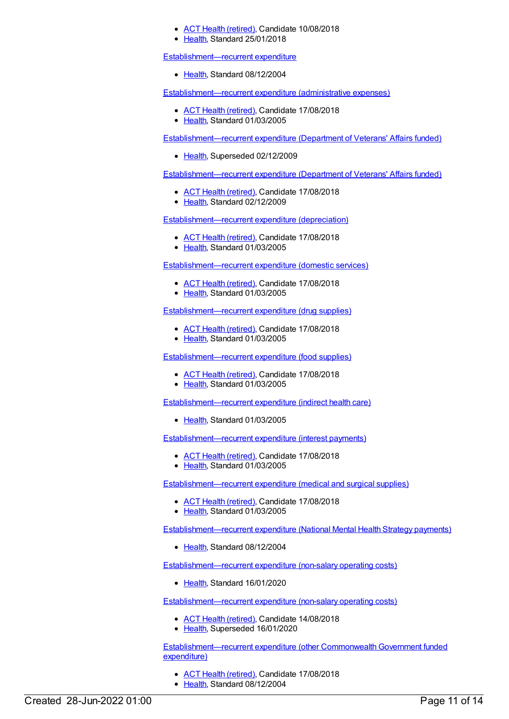- ACT Health [\(retired\)](https://meteor.aihw.gov.au/RegistrationAuthority/9), Candidate 10/08/2018
- [Health](https://meteor.aihw.gov.au/RegistrationAuthority/12), Standard 25/01/2018

[Establishment—recurrent](https://meteor.aihw.gov.au/content/288991) expenditure

• [Health](https://meteor.aihw.gov.au/RegistrationAuthority/12), Standard 08/12/2004

[Establishment—recurrent](https://meteor.aihw.gov.au/content/269404) expenditure (administrative expenses)

- ACT Health [\(retired\)](https://meteor.aihw.gov.au/RegistrationAuthority/9), Candidate 17/08/2018
- [Health](https://meteor.aihw.gov.au/RegistrationAuthority/12), Standard 01/03/2005

[Establishment—recurrent](https://meteor.aihw.gov.au/content/287029) expenditure (Department of Veterans' Affairs funded)

• [Health](https://meteor.aihw.gov.au/RegistrationAuthority/12), Superseded 02/12/2009

[Establishment—recurrent](https://meteor.aihw.gov.au/content/377994) expenditure (Department of Veterans' Affairs funded)

- ACT Health [\(retired\)](https://meteor.aihw.gov.au/RegistrationAuthority/9), Candidate 17/08/2018
- [Health](https://meteor.aihw.gov.au/RegistrationAuthority/12), Standard 02/12/2009

[Establishment—recurrent](https://meteor.aihw.gov.au/content/269721) expenditure (depreciation)

- ACT Health [\(retired\)](https://meteor.aihw.gov.au/RegistrationAuthority/9), Candidate 17/08/2018
- Elealth, Standard 01/03/2005

[Establishment—recurrent](https://meteor.aihw.gov.au/content/269726) expenditure (domestic services)

- ACT Health [\(retired\)](https://meteor.aihw.gov.au/RegistrationAuthority/9), Candidate 17/08/2018
- [Health](https://meteor.aihw.gov.au/RegistrationAuthority/12), Standard 01/03/2005

[Establishment—recurrent](https://meteor.aihw.gov.au/content/269725) expenditure (drug supplies)

- ACT Health [\(retired\)](https://meteor.aihw.gov.au/RegistrationAuthority/9), Candidate 17/08/2018
- [Health](https://meteor.aihw.gov.au/RegistrationAuthority/12), Standard 01/03/2005

[Establishment—recurrent](https://meteor.aihw.gov.au/content/269728) expenditure (food supplies)

- ACT Health [\(retired\)](https://meteor.aihw.gov.au/RegistrationAuthority/9), Candidate 17/08/2018
- [Health](https://meteor.aihw.gov.au/RegistrationAuthority/12), Standard 01/03/2005

[Establishment—recurrent](https://meteor.aihw.gov.au/content/269719) expenditure (indirect health care)

• [Health](https://meteor.aihw.gov.au/RegistrationAuthority/12), Standard 01/03/2005

[Establishment—recurrent](https://meteor.aihw.gov.au/content/269653) expenditure (interest payments)

- ACT Health [\(retired\)](https://meteor.aihw.gov.au/RegistrationAuthority/9), Candidate 17/08/2018
- [Health](https://meteor.aihw.gov.au/RegistrationAuthority/12), Standard 01/03/2005

[Establishment—recurrent](https://meteor.aihw.gov.au/content/269734) expenditure (medical and surgical supplies)

- ACT Health [\(retired\)](https://meteor.aihw.gov.au/RegistrationAuthority/9), Candidate 17/08/2018
- [Health](https://meteor.aihw.gov.au/RegistrationAuthority/12), Standard 01/03/2005

[Establishment—recurrent](https://meteor.aihw.gov.au/content/289504) expenditure (National Mental Health Strategy payments)

• [Health](https://meteor.aihw.gov.au/RegistrationAuthority/12), Standard 08/12/2004

[Establishment—recurrent](https://meteor.aihw.gov.au/content/722162) expenditure (non-salary operating costs)

[Health](https://meteor.aihw.gov.au/RegistrationAuthority/12), Standard 16/01/2020

[Establishment—recurrent](https://meteor.aihw.gov.au/content/269733) expenditure (non-salary operating costs)

- ACT Health [\(retired\)](https://meteor.aihw.gov.au/RegistrationAuthority/9), Candidate 14/08/2018
- [Health](https://meteor.aihw.gov.au/RegistrationAuthority/12), Superseded 16/01/2020

Establishment-recurrent expenditure (other Commonwealth Government funded expenditure)

- ACT Health [\(retired\)](https://meteor.aihw.gov.au/RegistrationAuthority/9), Candidate 17/08/2018
- [Health](https://meteor.aihw.gov.au/RegistrationAuthority/12), Standard 08/12/2004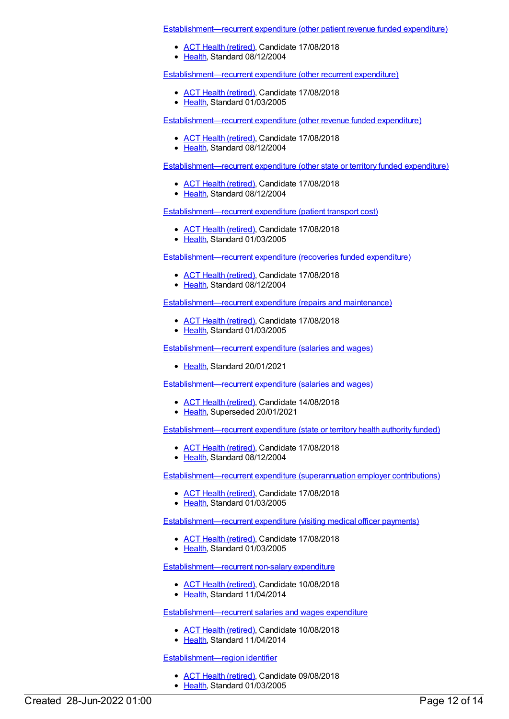[Establishment—recurrent](https://meteor.aihw.gov.au/content/288055) expenditure (other patient revenue funded expenditure)

- ACT Health [\(retired\)](https://meteor.aihw.gov.au/RegistrationAuthority/9), Candidate 17/08/2018
- [Health](https://meteor.aihw.gov.au/RegistrationAuthority/12), Standard 08/12/2004

[Establishment—recurrent](https://meteor.aihw.gov.au/content/269589) expenditure (other recurrent expenditure)

- ACT Health [\(retired\)](https://meteor.aihw.gov.au/RegistrationAuthority/9), Candidate 17/08/2018
- [Health](https://meteor.aihw.gov.au/RegistrationAuthority/12), Standard 01/03/2005

[Establishment—recurrent](https://meteor.aihw.gov.au/content/288067) expenditure (other revenue funded expenditure)

- ACT Health [\(retired\)](https://meteor.aihw.gov.au/RegistrationAuthority/9), Candidate 17/08/2018
- [Health](https://meteor.aihw.gov.au/RegistrationAuthority/12), Standard 08/12/2004

[Establishment—recurrent](https://meteor.aihw.gov.au/content/288081) expenditure (other state or territory funded expenditure)

- ACT Health [\(retired\)](https://meteor.aihw.gov.au/RegistrationAuthority/9), Candidate 17/08/2018
- [Health](https://meteor.aihw.gov.au/RegistrationAuthority/12), Standard 08/12/2004

[Establishment—recurrent](https://meteor.aihw.gov.au/content/269519) expenditure (patient transport cost)

- ACT Health [\(retired\)](https://meteor.aihw.gov.au/RegistrationAuthority/9), Candidate 17/08/2018
- [Health](https://meteor.aihw.gov.au/RegistrationAuthority/12), Standard 01/03/2005

[Establishment—recurrent](https://meteor.aihw.gov.au/content/288680) expenditure (recoveries funded expenditure)

- ACT Health [\(retired\)](https://meteor.aihw.gov.au/RegistrationAuthority/9), Candidate 17/08/2018
- [Health](https://meteor.aihw.gov.au/RegistrationAuthority/12), Standard 08/12/2004

[Establishment—recurrent](https://meteor.aihw.gov.au/content/269412) expenditure (repairs and maintenance)

- ACT Health [\(retired\)](https://meteor.aihw.gov.au/RegistrationAuthority/9), Candidate 17/08/2018
- [Health](https://meteor.aihw.gov.au/RegistrationAuthority/12), Standard 01/03/2005

[Establishment—recurrent](https://meteor.aihw.gov.au/content/736930) expenditure (salaries and wages)

• [Health](https://meteor.aihw.gov.au/RegistrationAuthority/12), Standard 20/01/2021

[Establishment—recurrent](https://meteor.aihw.gov.au/content/269717) expenditure (salaries and wages)

- ACT Health [\(retired\)](https://meteor.aihw.gov.au/RegistrationAuthority/9), Candidate 14/08/2018
- [Health](https://meteor.aihw.gov.au/RegistrationAuthority/12), Superseded 20/01/2021

[Establishment—recurrent](https://meteor.aihw.gov.au/content/288961) expenditure (state or territory health authority funded)

- ACT Health [\(retired\)](https://meteor.aihw.gov.au/RegistrationAuthority/9), Candidate 17/08/2018
- [Health](https://meteor.aihw.gov.au/RegistrationAuthority/12), Standard 08/12/2004

[Establishment—recurrent](https://meteor.aihw.gov.au/content/269801) expenditure (superannuation employer contributions)

- ACT Health [\(retired\)](https://meteor.aihw.gov.au/RegistrationAuthority/9), Candidate 17/08/2018
- [Health](https://meteor.aihw.gov.au/RegistrationAuthority/12), Standard 01/03/2005

[Establishment—recurrent](https://meteor.aihw.gov.au/content/269520) expenditure (visiting medical officer payments)

- ACT Health [\(retired\)](https://meteor.aihw.gov.au/RegistrationAuthority/9), Candidate 17/08/2018
- [Health](https://meteor.aihw.gov.au/RegistrationAuthority/12), Standard 01/03/2005

[Establishment—recurrent](https://meteor.aihw.gov.au/content/542136) non-salary expenditure

- ACT Health [\(retired\)](https://meteor.aihw.gov.au/RegistrationAuthority/9), Candidate 10/08/2018
- [Health](https://meteor.aihw.gov.au/RegistrationAuthority/12), Standard 11/04/2014

[Establishment—recurrent](https://meteor.aihw.gov.au/content/541961) salaries and wages expenditure

- ACT Health [\(retired\)](https://meteor.aihw.gov.au/RegistrationAuthority/9), Candidate 10/08/2018
- [Health](https://meteor.aihw.gov.au/RegistrationAuthority/12), Standard 11/04/2014

[Establishment—region](https://meteor.aihw.gov.au/content/269459) identifier

- ACT Health [\(retired\)](https://meteor.aihw.gov.au/RegistrationAuthority/9), Candidate 09/08/2018
- [Health](https://meteor.aihw.gov.au/RegistrationAuthority/12), Standard 01/03/2005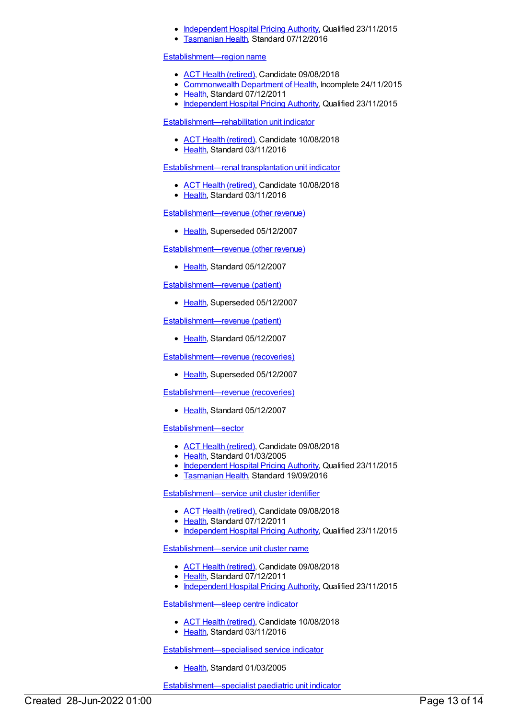- [Independent](https://meteor.aihw.gov.au/RegistrationAuthority/3) Hospital Pricing Authority, Qualified 23/11/2015
- [Tasmanian](https://meteor.aihw.gov.au/RegistrationAuthority/15) Health, Standard 07/12/2016

#### [Establishment—region](https://meteor.aihw.gov.au/content/407183) name

- ACT Health [\(retired\)](https://meteor.aihw.gov.au/RegistrationAuthority/9), Candidate 09/08/2018
- [Commonwealth](https://meteor.aihw.gov.au/RegistrationAuthority/10) Department of Health, Incomplete 24/11/2015
- [Health](https://meteor.aihw.gov.au/RegistrationAuthority/12), Standard 07/12/2011
- [Independent](https://meteor.aihw.gov.au/RegistrationAuthority/3) Hospital Pricing Authority, Qualified 23/11/2015

[Establishment—rehabilitation](https://meteor.aihw.gov.au/content/620008) unit indicator

- ACT Health [\(retired\)](https://meteor.aihw.gov.au/RegistrationAuthority/9), Candidate 10/08/2018
- [Health](https://meteor.aihw.gov.au/RegistrationAuthority/12), Standard 03/11/2016

[Establishment—renal](https://meteor.aihw.gov.au/content/620017) transplantation unit indicator

- ACT Health [\(retired\)](https://meteor.aihw.gov.au/RegistrationAuthority/9), Candidate 10/08/2018
- [Health](https://meteor.aihw.gov.au/RegistrationAuthority/12), Standard 03/11/2016

[Establishment—revenue](https://meteor.aihw.gov.au/content/269591) (other revenue)

• [Health](https://meteor.aihw.gov.au/RegistrationAuthority/12), Superseded 05/12/2007

[Establishment—revenue](https://meteor.aihw.gov.au/content/364791) (other revenue)

● [Health](https://meteor.aihw.gov.au/RegistrationAuthority/12), Standard 05/12/2007

[Establishment—revenue](https://meteor.aihw.gov.au/content/269518) (patient)

• [Health](https://meteor.aihw.gov.au/RegistrationAuthority/12), Superseded 05/12/2007

[Establishment—revenue](https://meteor.aihw.gov.au/content/364794) (patient)

• [Health](https://meteor.aihw.gov.au/RegistrationAuthority/12), Standard 05/12/2007

[Establishment—revenue](https://meteor.aihw.gov.au/content/269417) (recoveries)

• [Health](https://meteor.aihw.gov.au/RegistrationAuthority/12), Superseded 05/12/2007

[Establishment—revenue](https://meteor.aihw.gov.au/content/364802) (recoveries)

● [Health](https://meteor.aihw.gov.au/RegistrationAuthority/12), Standard 05/12/2007

[Establishment—sector](https://meteor.aihw.gov.au/content/269458)

- ACT Health [\(retired\)](https://meteor.aihw.gov.au/RegistrationAuthority/9), Candidate 09/08/2018
- [Health](https://meteor.aihw.gov.au/RegistrationAuthority/12), Standard 01/03/2005
- [Independent](https://meteor.aihw.gov.au/RegistrationAuthority/3) Hospital Pricing Authority, Qualified 23/11/2015
- [Tasmanian](https://meteor.aihw.gov.au/RegistrationAuthority/15) Health, Standard 19/09/2016

[Establishment—service](https://meteor.aihw.gov.au/content/404855) unit cluster identifier

- ACT Health [\(retired\)](https://meteor.aihw.gov.au/RegistrationAuthority/9), Candidate 09/08/2018
- [Health](https://meteor.aihw.gov.au/RegistrationAuthority/12), Standard 07/12/2011
- [Independent](https://meteor.aihw.gov.au/RegistrationAuthority/3) Hospital Pricing Authority, Qualified 23/11/2015

[Establishment—service](https://meteor.aihw.gov.au/content/409206) unit cluster name

- ACT Health [\(retired\)](https://meteor.aihw.gov.au/RegistrationAuthority/9), Candidate 09/08/2018
- [Health](https://meteor.aihw.gov.au/RegistrationAuthority/12), Standard 07/12/2011
- [Independent](https://meteor.aihw.gov.au/RegistrationAuthority/3) Hospital Pricing Authority, Qualified 23/11/2015

[Establishment—sleep](https://meteor.aihw.gov.au/content/620024) centre indicator

- ACT Health [\(retired\)](https://meteor.aihw.gov.au/RegistrationAuthority/9), Candidate 10/08/2018
- [Health](https://meteor.aihw.gov.au/RegistrationAuthority/12), Standard 03/11/2016

[Establishment—specialised](https://meteor.aihw.gov.au/content/269612) service indicator

[Health](https://meteor.aihw.gov.au/RegistrationAuthority/12), Standard 01/03/2005

[Establishment—specialist](https://meteor.aihw.gov.au/content/620031) paediatric unit indicator